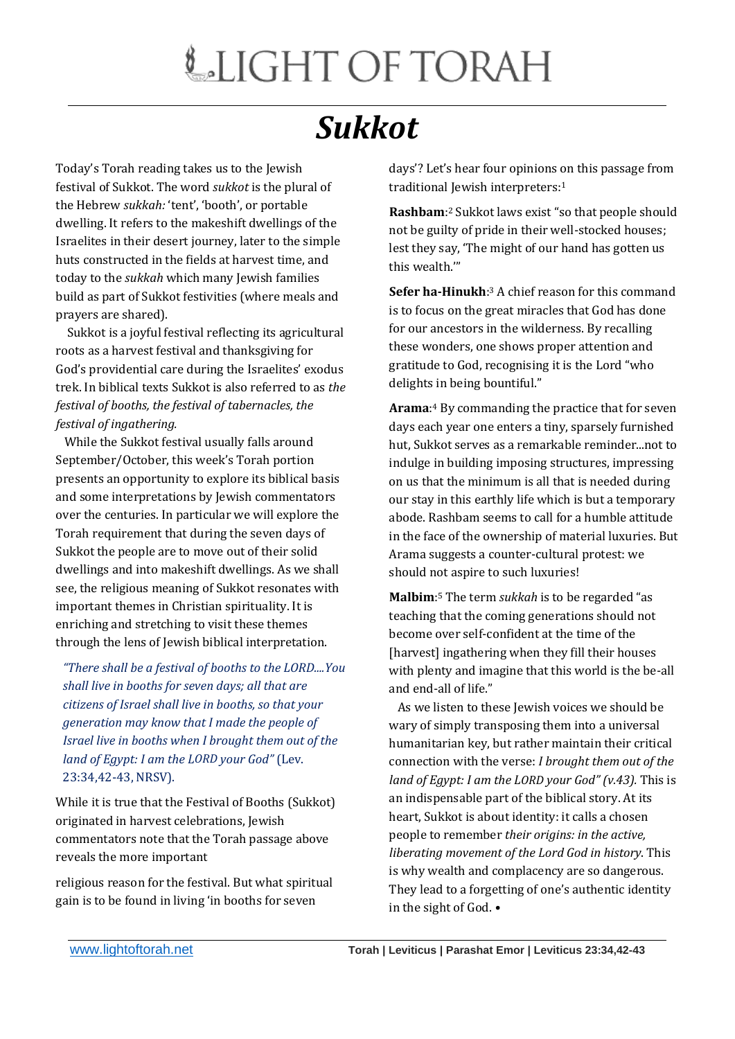## LIGHT OF TORAH

## *Sukkot*

Today's Torah reading takes us to the Jewish festival of Sukkot. The word *sukkot* is the plural of the Hebrew *sukkah:* 'tent', 'booth', or portable dwelling. It refers to the makeshift dwellings of the Israelites in their desert journey, later to the simple huts constructed in the fields at harvest time, and today to the *sukkah* which many Jewish families build as part of Sukkot festivities (where meals and prayers are shared).

 Sukkot is a joyful festival reflecting its agricultural roots as a harvest festival and thanksgiving for God's providential care during the Israelites' exodus trek. In biblical texts Sukkot is also referred to as *the festival of booths, the festival of tabernacles, the festival of ingathering.*

 While the Sukkot festival usually falls around September/October, this week's Torah portion presents an opportunity to explore its biblical basis and some interpretations by Jewish commentators over the centuries. In particular we will explore the Torah requirement that during the seven days of Sukkot the people are to move out of their solid dwellings and into makeshift dwellings. As we shall see, the religious meaning of Sukkot resonates with important themes in Christian spirituality. It is enriching and stretching to visit these themes through the lens of Jewish biblical interpretation.

*"There shall be a festival of booths to the LORD....You shall live in booths for seven days; all that are citizens of Israel shall live in booths, so that your generation may know that I made the people of Israel live in booths when I brought them out of the land of Egypt: I am the LORD your God"* (Lev. 23:34,42-43, NRSV).

While it is true that the Festival of Booths (Sukkot) originated in harvest celebrations, Jewish commentators note that the Torah passage above reveals the more important

religious reason for the festival. But what spiritual gain is to be found in living 'in booths for seven

days'? Let's hear four opinions on this passage from traditional Jewish interpreters:<sup>1</sup>

**Rashbam**: <sup>2</sup> Sukkot laws exist "so that people should not be guilty of pride in their well-stocked houses; lest they say, 'The might of our hand has gotten us this wealth.'"

**Sefer ha-Hinukh**: <sup>3</sup> A chief reason for this command is to focus on the great miracles that God has done for our ancestors in the wilderness. By recalling these wonders, one shows proper attention and gratitude to God, recognising it is the Lord "who delights in being bountiful."

**Arama**: <sup>4</sup> By commanding the practice that for seven days each year one enters a tiny, sparsely furnished hut, Sukkot serves as a remarkable reminder...not to indulge in building imposing structures, impressing on us that the minimum is all that is needed during our stay in this earthly life which is but a temporary abode. Rashbam seems to call for a humble attitude in the face of the ownership of material luxuries. But Arama suggests a counter-cultural protest: we should not aspire to such luxuries!

**Malbim**: <sup>5</sup> The term *sukkah* is to be regarded "as teaching that the coming generations should not become over self-confident at the time of the [harvest] ingathering when they fill their houses with plenty and imagine that this world is the be-all and end-all of life."

 As we listen to these Jewish voices we should be wary of simply transposing them into a universal humanitarian key, but rather maintain their critical connection with the verse: *I brought them out of the land of Egypt: I am the LORD your God" (v.43).* This is an indispensable part of the biblical story. At its heart, Sukkot is about identity: it calls a chosen people to remember *their origins: in the active, liberating movement of the Lord God in history*. This is why wealth and complacency are so dangerous. They lead to a forgetting of one's authentic identity in the sight of God. *•*